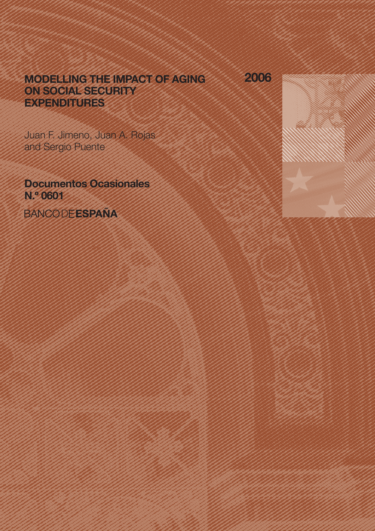# MODELLING THE IMPACT OF AGING ON SOCIAL SECURITY **EXPENDITURES**

2006

Juan F. Jimeno, Juan A. Rojas and Sergio Puente

Documentos Ocasionales N.º 0601

**BANCODEESPAÑA**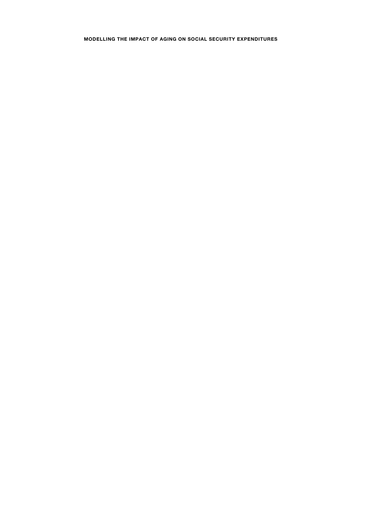#### MODELLING THE IMPACT OF AGING ON SOCIAL SECURITY EXPENDITURES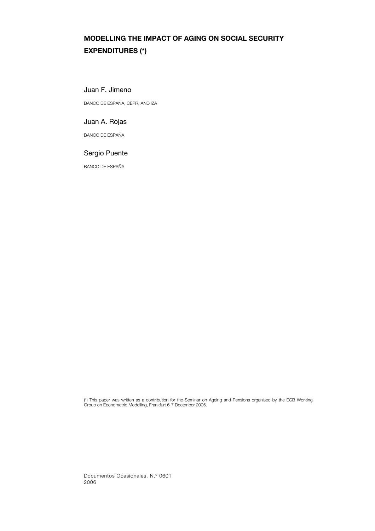# MODELLING THE IMPACT OF AGING ON SOCIAL SECURITY EXPENDITURES (\*)

### Juan F. Jimeno

BANCO DE ESPAÑA, CEPR, AND IZA

#### Juan A. Rojas

BANCO DE ESPAÑA

#### Sergio Puente

BANCO DE ESPAÑA

(\*) This paper was written as a contribution for the Seminar on Ageing and Pensions organised by the ECB Working Group on Econometric Modelling, Frankfurt 6-7 December 2005.

Documentos Ocasionales. N.º 0601 2006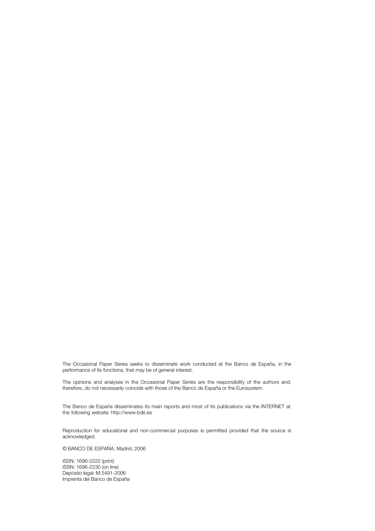The Occasional Paper Series seeks to disseminate work conducted at the Banco de España, in the performance of its functions, that may be of general interest.

The opinions and analyses in the Occasional Paper Series are the responsibility of the authors and, therefore, do not necessarily coincide with those of the Banco de España or the Eurosystem.

The Banco de España disseminates its main reports and most of its publications via the INTERNET at the following website: http://www.bde.es

Reproduction for educational and non-commercial purposes is permitted provided that the source is acknowledged.

© BANCO DE ESPAÑA, Madrid, 2006

ISSN: 1696-2222 (print) ISSN: 1696-2230 (on line) Depósito legal: M.5491-2006 Imprenta del Banco de España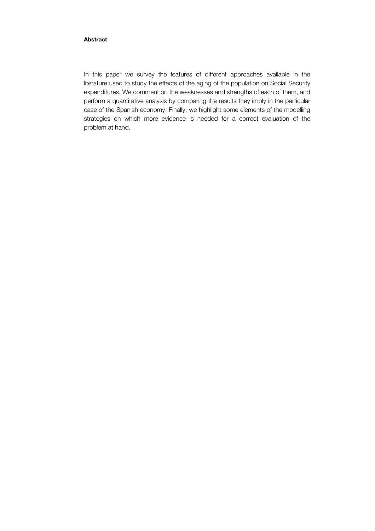#### Abstract

In this paper we survey the features of different approaches available in the literature used to study the effects of the aging of the population on Social Security expenditures. We comment on the weaknesses and strengths of each of them, and perform a quantitative analysis by comparing the results they imply in the particular case of the Spanish economy. Finally, we highlight some elements of the modelling strategies on which more evidence is needed for a correct evaluation of the problem at hand.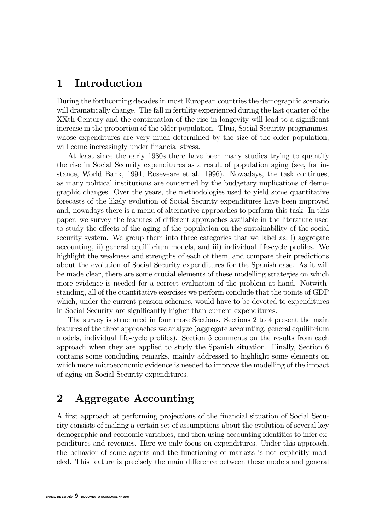# 1 Introduction

During the forthcoming decades in most European countries the demographic scenario will dramatically change. The fall in fertility experienced during the last quarter of the XXth Century and the continuation of the rise in longevity will lead to a significant increase in the proportion of the older population. Thus, Social Security programmes, whose expenditures are very much determined by the size of the older population, will come increasingly under financial stress.

At least since the early 1980s there have been many studies trying to quantify the rise in Social Security expenditures as a result of population aging (see, for instance, World Bank, 1994, Roseveare et al. 1996). Nowadays, the task continues, as many political institutions are concerned by the budgetary implications of demographic changes. Over the years, the methodologies used to yield some quantitative forecasts of the likely evolution of Social Security expenditures have been improved and, nowadays there is a menu of alternative approaches to perform this task. In this paper, we survey the features of different approaches available in the literature used to study the effects of the aging of the population on the sustainability of the social security system. We group them into three categories that we label as: i) aggregate accounting, ii) general equilibrium models, and iii) individual life-cycle profiles. We highlight the weakness and strengths of each of them, and compare their predictions about the evolution of Social Security expenditures for the Spanish case. As it will be made clear, there are some crucial elements of these modelling strategies on which more evidence is needed for a correct evaluation of the problem at hand. Notwithstanding, all of the quantitative exercises we perform conclude that the points of GDP which, under the current pension schemes, would have to be devoted to expenditures in Social Security are significantly higher than current expenditures.

The survey is structured in four more Sections. Sections 2 to 4 present the main features of the three approaches we analyze (aggregate accounting, general equilibrium models, individual life-cycle profiles). Section 5 comments on the results from each approach when they are applied to study the Spanish situation. Finally, Section 6 contains some concluding remarks, mainly addressed to highlight some elements on which more microeconomic evidence is needed to improve the modelling of the impact of aging on Social Security expenditures.

# 2 Aggregate Accounting

A first approach at performing projections of the financial situation of Social Security consists of making a certain set of assumptions about the evolution of several key demographic and economic variables, and then using accounting identities to infer expenditures and revenues. Here we only focus on expenditures. Under this approach, the behavior of some agents and the functioning of markets is not explicitly modeled. This feature is precisely the main difference between these models and general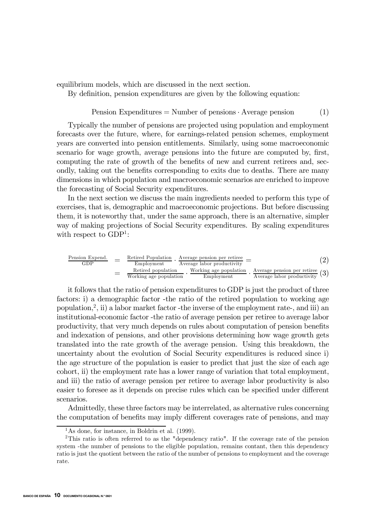equilibrium models, which are discussed in the next section.

By definition, pension expenditures are given by the following equation:

$$
Pension\ Expenditures = Number\ of\ pensions \cdot Average\ pension
$$
 (1)

Typically the number of pensions are projected using population and employment forecasts over the future, where, for earnings-related pension schemes, employment years are converted into pension entitlements. Similarly, using some macroeconomic scenario for wage growth, average pensions into the future are computed by, first, computing the rate of growth of the benefits of new and current retirees and, secondly, taking out the benefits corresponding to exits due to deaths. There are many dimensions in which population and macroeconomic scenarios are enriched to improve the forecasting of Social Security expenditures.

In the next section we discuss the main ingredients needed to perform this type of exercises, that is, demographic and macroeconomic projections. But before discussing them, it is noteworthy that, under the same approach, there is an alternative, simpler way of making projections of Social Security expenditures. By scaling expenditures with respect to  $GDP<sup>1</sup>$ :

| Pension Expand. | =                                                                                                                                                                                                                  | $\frac{\text{Retired Population}}{\text{Employment}} \cdot \frac{\text{Average pension per retiree}}{\text{Average labor productivity}} =$ | (2) |
|-----------------|--------------------------------------------------------------------------------------------------------------------------------------------------------------------------------------------------------------------|--------------------------------------------------------------------------------------------------------------------------------------------|-----|
| =               | $\frac{\text{Retired population}}{\text{Working age population}} \cdot \frac{\text{Working age population}}{\text{Employment}} \cdot \frac{\text{Average pension per retiree}}{\text{Average labor productivity}}$ |                                                                                                                                            |     |

it follows that the ratio of pension expenditures to GDP is just the product of three factors: i) a demographic factor -the ratio of the retired population to working age population,<sup>2</sup>, ii) a labor market factor -the inverse of the employment rate-, and iii) an institutional-economic factor -the ratio of average pension per retiree to average labor productivity, that very much depends on rules about computation of pension benefits and indexation of pensions, and other provisions determining how wage growth gets translated into the rate growth of the average pension. Using this breakdown, the uncertainty about the evolution of Social Security expenditures is reduced since i) the age structure of the population is easier to predict that just the size of each age cohort, ii) the employment rate has a lower range of variation that total employment, and iii) the ratio of average pension per retiree to average labor productivity is also easier to foresee as it depends on precise rules which can be specified under different scenarios.

Admittedly, these three factors may be interrelated, as alternative rules concerning the computation of benefits may imply different coverages rate of pensions, and may

<sup>&</sup>lt;sup>1</sup>As done, for instance, in Boldrin et al. (1999).

<sup>&</sup>lt;sup>2</sup>This ratio is often referred to as the "dependency ratio". If the coverage rate of the pension system -the number of pensions to the eligible population, remains contant, then this dependency ratio is just the quotient between the ratio of the number of pensions to employment and the coverage rate.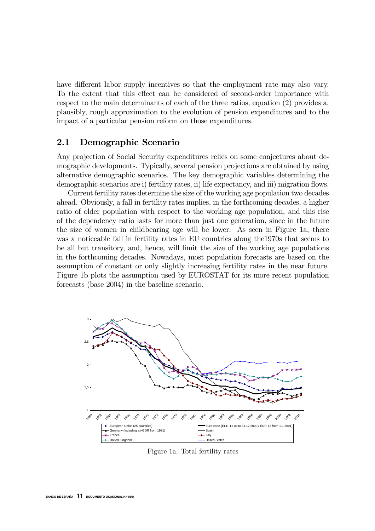have different labor supply incentives so that the employment rate may also vary. To the extent that this effect can be considered of second-order importance with respect to the main determinants of each of the three ratios, equation (2) provides a, plausibly, rough approximation to the evolution of pension expenditures and to the impact of a particular pension reform on those expenditures.

### 2.1 Demographic Scenario

Any projection of Social Security expenditures relies on some conjectures about demographic developments. Typically, several pension projections are obtained by using alternative demographic scenarios. The key demographic variables determining the demographic scenarios are i) fertility rates, ii) life expectancy, and iii) migration flows.

Current fertility rates determine the size of the working age population two decades ahead. Obviously, a fall in fertility rates implies, in the forthcoming decades, a higher ratio of older population with respect to the working age population, and this rise of the dependency ratio lasts for more than just one generation, since in the future the size of women in childbearing age will be lower. As seen in Figure 1a, there was a noticeable fall in fertility rates in EU countries along the1970s that seems to be all but transitory, and, hence, will limit the size of the working age populations in the forthcoming decades. Nowadays, most population forecasts are based on the assumption of constant or only slightly increasing fertility rates in the near future. Figure 1b plots the assumption used by EUROSTAT for its more recent population forecasts (base 2004) in the baseline scenario.



Figure 1a. Total fertility rates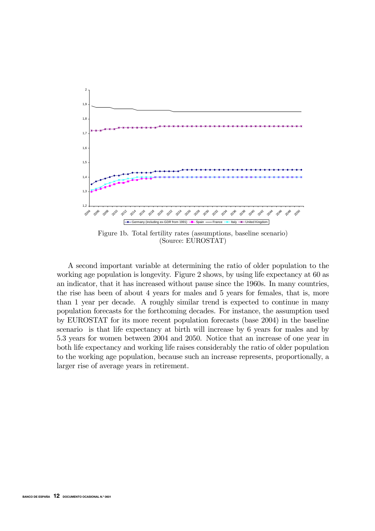

Figure 1b. Total fertility rates (assumptions, baseline scenario) (Source: EUROSTAT)

A second important variable at determining the ratio of older population to the working age population is longevity. Figure 2 shows, by using life expectancy at 60 as an indicator, that it has increased without pause since the 1960s. In many countries, the rise has been of about 4 years for males and 5 years for females, that is, more than 1 year per decade. A roughly similar trend is expected to continue in many population forecasts for the forthcoming decades. For instance, the assumption used by EUROSTAT for its more recent population forecasts (base 2004) in the baseline scenario is that life expectancy at birth will increase by 6 years for males and by 5.3 years for women between 2004 and 2050. Notice that an increase of one year in both life expectancy and working life raises considerably the ratio of older population to the working age population, because such an increase represents, proportionally, a larger rise of average years in retirement.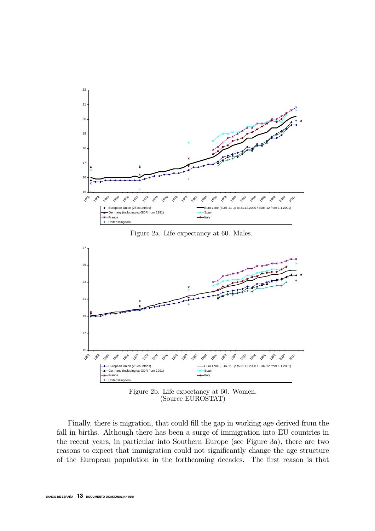

Figure 2a. Life expectancy at 60. Males.



Figure 2b. Life expectancy at 60. Women. (Source EUROSTAT)

Finally, there is migration, that could fill the gap in working age derived from the fall in births. Although there has been a surge of immigration into EU countries in the recent years, in particular into Southern Europe (see Figure 3a), there are two reasons to expect that immigration could not significantly change the age structure of the European population in the forthcoming decades. The first reason is that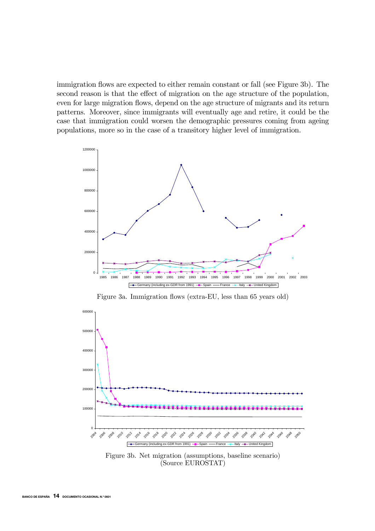immigration flows are expected to either remain constant or fall (see Figure 3b). The second reason is that the effect of migration on the age structure of the population, even for large migration flows, depend on the age structure of migrants and its return patterns. Moreover, since immigrants will eventually age and retire, it could be the case that immigration could worsen the demographic pressures coming from ageing populations, more so in the case of a transitory higher level of immigration.



Figure 3a. Immigration flows (extra-EU, less than 65 years old)



Figure 3b. Net migration (assumptions, baseline scenario) (Source EUROSTAT)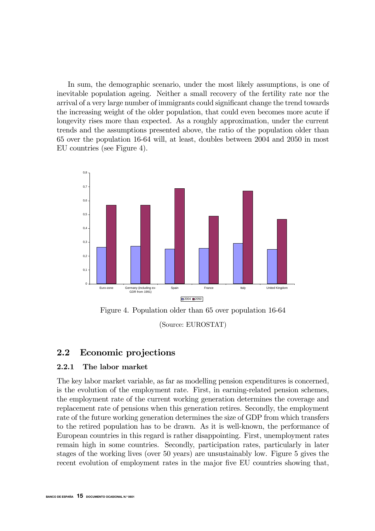In sum, the demographic scenario, under the most likely assumptions, is one of inevitable population ageing. Neither a small recovery of the fertility rate nor the arrival of a very large number of immigrants could significant change the trend towards the increasing weight of the older population, that could even becomes more acute if longevity rises more than expected. As a roughly approximation, under the current trends and the assumptions presented above, the ratio of the population older than 65 over the population 16-64 will, at least, doubles between 2004 and 2050 in most EU countries (see Figure 4).



Figure 4. Population older than 65 over population 16-64 (Source: EUROSTAT)

### 2.2 Economic projections

#### 2.2.1 The labor market

The key labor market variable, as far as modelling pension expenditures is concerned, is the evolution of the employment rate. First, in earning-related pension schemes, the employment rate of the current working generation determines the coverage and replacement rate of pensions when this generation retires. Secondly, the employment rate of the future working generation determines the size of GDP from which transfers to the retired population has to be drawn. As it is well-known, the performance of European countries in this regard is rather disappointing. First, unemployment rates remain high in some countries. Secondly, participation rates, particularly in later stages of the working lives (over 50 years) are unsustainably low. Figure 5 gives the recent evolution of employment rates in the major five EU countries showing that,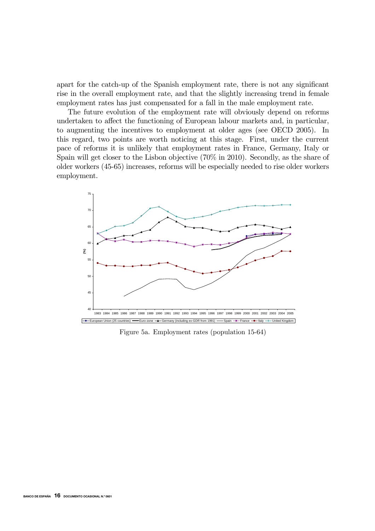apart for the catch-up of the Spanish employment rate, there is not any significant rise in the overall employment rate, and that the slightly increasing trend in female employment rates has just compensated for a fall in the male employment rate.

The future evolution of the employment rate will obviously depend on reforms undertaken to affect the functioning of European labour markets and, in particular, to augmenting the incentives to employment at older ages (see OECD 2005). In this regard, two points are worth noticing at this stage. First, under the current pace of reforms it is unlikely that employment rates in France, Germany, Italy or Spain will get closer to the Lisbon objective (70% in 2010). Secondly, as the share of older workers (45-65) increases, reforms will be especially needed to rise older workers employment.



Figure 5a. Employment rates (population 15-64)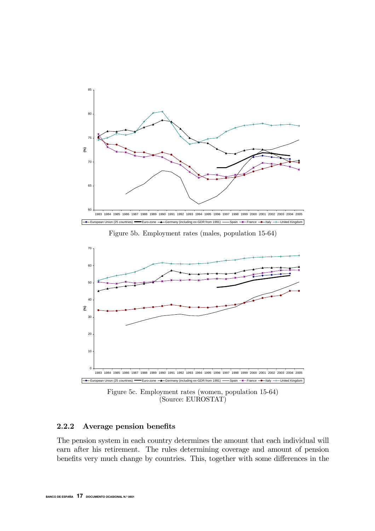

Figure 5b. Employment rates (males, population 15-64)



Figure 5c. Employment rates (women, population 15-64) (Source: EUROSTAT)

### 2.2.2 Average pension benefits

The pension system in each country determines the amount that each individual will earn after his retirement. The rules determining coverage and amount of pension benefits very much change by countries. This, together with some differences in the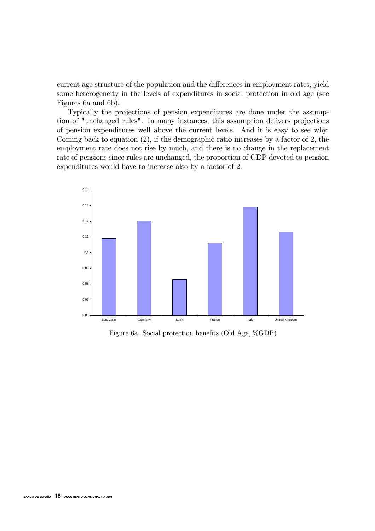current age structure of the population and the differences in employment rates, yield some heterogeneity in the levels of expenditures in social protection in old age (see Figures 6a and 6b).

Typically the projections of pension expenditures are done under the assumption of "unchanged rules". In many instances, this assumption delivers projections of pension expenditures well above the current levels. And it is easy to see why: Coming back to equation (2), if the demographic ratio increases by a factor of 2, the employment rate does not rise by much, and there is no change in the replacement rate of pensions since rules are unchanged, the proportion of GDP devoted to pension expenditures would have to increase also by a factor of 2.



Figure 6a. Social protection benefits (Old Age, %GDP)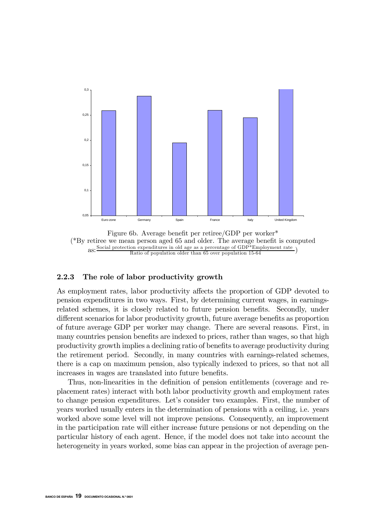

(\*By retiree we mean person aged 65 and older. The average benefit is computed as: Social protection expenditures in old age as a percentage of GDP\*Employment rate Ratio of population older than 65 over population 15-64 )

#### 2.2.3 The role of labor productivity growth

As employment rates, labor productivity affects the proportion of GDP devoted to pension expenditures in two ways. First, by determining current wages, in earningsrelated schemes, it is closely related to future pension benefits. Secondly, under different scenarios for labor productivity growth, future average benefits as proportion of future average GDP per worker may change. There are several reasons. First, in many countries pension benefits are indexed to prices, rather than wages, so that high productivity growth implies a declining ratio of benefits to average productivity during the retirement period. Secondly, in many countries with earnings-related schemes, there is a cap on maximum pension, also typically indexed to prices, so that not all increases in wages are translated into future benefits.

Thus, non-linearities in the definition of pension entitlements (coverage and replacement rates) interact with both labor productivity growth and employment rates to change pension expenditures. Let's consider two examples. First, the number of years worked usually enters in the determination of pensions with a ceiling, i.e. years worked above some level will not improve pensions. Consequently, an improvement in the participation rate will either increase future pensions or not depending on the particular history of each agent. Hence, if the model does not take into account the heterogeneity in years worked, some bias can appear in the projection of average pen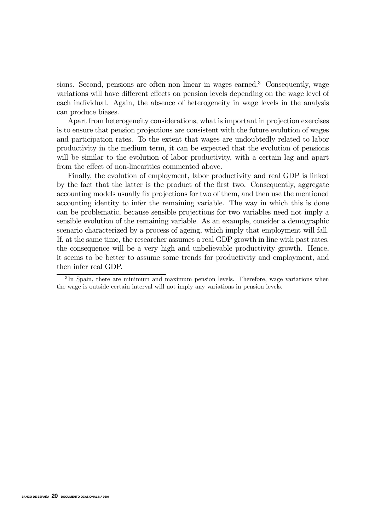sions. Second, pensions are often non linear in wages earned.<sup>3</sup> Consequently, wage variations will have different effects on pension levels depending on the wage level of each individual. Again, the absence of heterogeneity in wage levels in the analysis can produce biases.

Apart from heterogeneity considerations, what is important in projection exercises is to ensure that pension projections are consistent with the future evolution of wages and participation rates. To the extent that wages are undoubtedly related to labor productivity in the medium term, it can be expected that the evolution of pensions will be similar to the evolution of labor productivity, with a certain lag and apart from the effect of non-linearities commented above.

Finally, the evolution of employment, labor productivity and real GDP is linked by the fact that the latter is the product of the first two. Consequently, aggregate accounting models usually fix projections for two of them, and then use the mentioned accounting identity to infer the remaining variable. The way in which this is done can be problematic, because sensible projections for two variables need not imply a sensible evolution of the remaining variable. As an example, consider a demographic scenario characterized by a process of ageing, which imply that employment will fall. If, at the same time, the researcher assumes a real GDP growth in line with past rates, the consequence will be a very high and unbelievable productivity growth. Hence, it seems to be better to assume some trends for productivity and employment, and then infer real GDP.

<sup>&</sup>lt;sup>3</sup>In Spain, there are minimum and maximum pension levels. Therefore, wage variations when the wage is outside certain interval will not imply any variations in pension levels.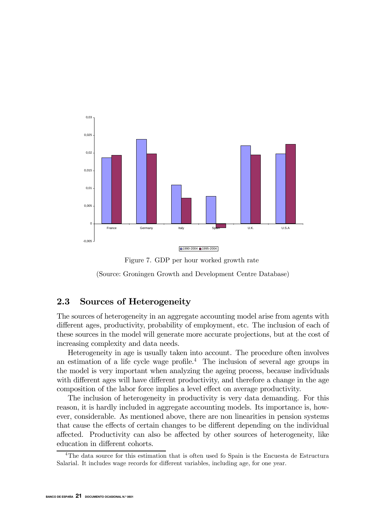

Figure 7. GDP per hour worked growth rate

(Source: Groningen Growth and Development Centre Database)

### 2.3 Sources of Heterogeneity

The sources of heterogeneity in an aggregate accounting model arise from agents with different ages, productivity, probability of employment, etc. The inclusion of each of these sources in the model will generate more accurate projections, but at the cost of increasing complexity and data needs.

Heterogeneity in age is usually taken into account. The procedure often involves an estimation of a life cycle wage profile.<sup>4</sup> The inclusion of several age groups in the model is very important when analyzing the ageing process, because individuals with different ages will have different productivity, and therefore a change in the age composition of the labor force implies a level effect on average productivity.

The inclusion of heterogeneity in productivity is very data demanding. For this reason, it is hardly included in aggregate accounting models. Its importance is, however, considerable. As mentioned above, there are non linearities in pension systems that cause the effects of certain changes to be different depending on the individual affected. Productivity can also be affected by other sources of heterogeneity, like education in different cohorts.

<sup>&</sup>lt;sup>4</sup>The data source for this estimation that is often used fo Spain is the Encuesta de Estructura Salarial. It includes wage records for different variables, including age, for one year.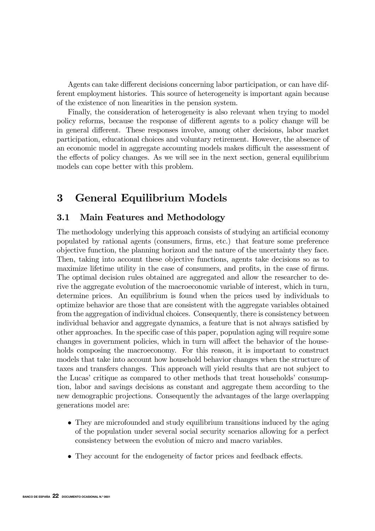Agents can take different decisions concerning labor participation, or can have different employment histories. This source of heterogeneity is important again because of the existence of non linearities in the pension system.

Finally, the consideration of heterogeneity is also relevant when trying to model policy reforms, because the response of different agents to a policy change will be in general different. These responses involve, among other decisions, labor market participation, educational choices and voluntary retirement. However, the absence of an economic model in aggregate accounting models makes difficult the assessment of the effects of policy changes. As we will see in the next section, general equilibrium models can cope better with this problem.

# 3 General Equilibrium Models

### 3.1 Main Features and Methodology

The methodology underlying this approach consists of studying an artificial economy populated by rational agents (consumers, firms, etc.) that feature some preference objective function, the planning horizon and the nature of the uncertainty they face. Then, taking into account these objective functions, agents take decisions so as to maximize lifetime utility in the case of consumers, and profits, in the case of firms. The optimal decision rules obtained are aggregated and allow the researcher to derive the aggregate evolution of the macroeconomic variable of interest, which in turn, determine prices. An equilibrium is found when the prices used by individuals to optimize behavior are those that are consistent with the aggregate variables obtained from the aggregation of individual choices. Consequently, there is consistency between individual behavior and aggregate dynamics, a feature that is not always satisfied by other approaches. In the specific case of this paper, population aging will require some changes in government policies, which in turn will affect the behavior of the households composing the macroeconomy. For this reason, it is important to construct models that take into account how household behavior changes when the structure of taxes and transfers changes. This approach will yield results that are not subject to the Lucas' critique as compared to other methods that treat households' consumption, labor and savings decisions as constant and aggregate them according to the new demographic projections. Consequently the advantages of the large overlapping generations model are:

- They are microfounded and study equilibrium transitions induced by the aging of the population under several social security scenarios allowing for a perfect consistency between the evolution of micro and macro variables.
- They account for the endogeneity of factor prices and feedback effects.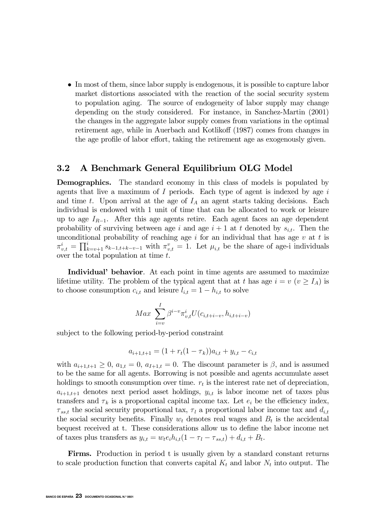• In most of them, since labor supply is endogenous, it is possible to capture labor market distortions associated with the reaction of the social security system to population aging. The source of endogeneity of labor supply may change depending on the study considered. For instance, in Sanchez-Martin (2001) the changes in the aggregate labor supply comes from variations in the optimal retirement age, while in Auerbach and Kotlikoff (1987) comes from changes in the age profile of labor effort, taking the retirement age as exogenously given.

### 3.2 A Benchmark General Equilibrium OLG Model

Demographics. The standard economy in this class of models is populated by agents that live a maximum of  $I$  periods. Each type of agent is indexed by age  $i$ and time t. Upon arrival at the age of  $I_A$  an agent starts taking decisions. Each individual is endowed with 1 unit of time that can be allocated to work or leisure up to age  $I_{R-1}$ . After this age agents retire. Each agent faces an age dependent probability of surviving between age i and age  $i + 1$  at t denoted by  $s_{i,t}$ . Then the unconditional probability of reaching age  $i$  for an individual that has age  $v$  at  $t$  is  $\pi_{v,t}^i = \prod_{k=v+1}^i s_{k-1,t+k-v-1}$  with  $\pi_{v,t}^v = 1$ . Let  $\mu_{i,t}$  be the share of age-i individuals over the total population at time  $t$ .

Individual' behavior. At each point in time agents are assumed to maximize lifetime utility. The problem of the typical agent that at t has age  $i = v$   $(v \ge I_A)$  is to choose consumption  $c_{i,t}$  and leisure  $l_{i,t} = 1 - h_{i,t}$  to solve

$$
Max \sum_{i=v}^{I} \beta^{i-v} \pi_{v,t}^{i} U(c_{i,t+i-v}, h_{i,t+i-v})
$$

subject to the following period-by-period constraint

$$
a_{i+1,t+1} = (1 + r_t(1 - \tau_k))a_{i,t} + y_{i,t} - c_{i,t}
$$

with  $a_{i+1,t+1} \geq 0$ ,  $a_{1,t} = 0$ ,  $a_{I+1,t} = 0$ . The discount parameter is  $\beta$ , and is assumed to be the same for all agents. Borrowing is not possible and agents accumulate asset holdings to smooth consumption over time.  $r_t$  is the interest rate net of depreciation,  $a_{i+1,t+1}$  denotes next period asset holdings,  $y_{i,t}$  is labor income net of taxes plus transfers and  $\tau_k$  is a proportional capital income tax. Let  $e_i$  be the efficiency index,  $\tau_{ss,t}$  the social security proportional tax,  $\tau_l$  a proportional labor income tax and  $d_{i,t}$ the social security benefits. Finally  $w_t$  denotes real wages and  $B_t$  is the accidental bequest received at t. These considerations allow us to define the labor income net of taxes plus transfers as  $y_{i,t} = w_t e_i h_{i,t} (1 - \tau_l - \tau_{sst}) + d_{i,t} + B_t$ .

Firms. Production in period t is usually given by a standard constant returns to scale production function that converts capital  $K_t$  and labor  $N_t$  into output. The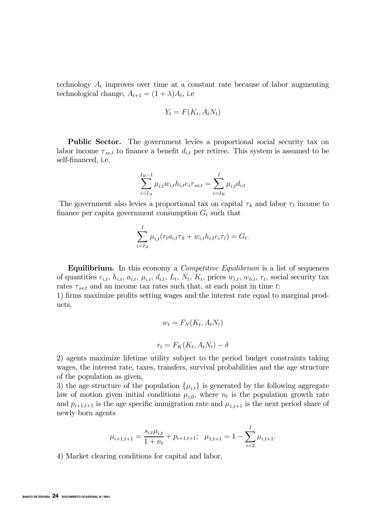technology  $A_t$  improves over time at a constant rate because of labor augmenting technological change,  $A_{t+1} = (1 + \lambda)A_t$ , i.e

$$
Y_t = F(K_t, A_t N_t)
$$

Public Sector. The government levies a proportional social security tax on labor income  $\tau_{ss,t}$  to finance a benefit  $d_{i,t}$  per retiree. This system is assumed to be self-financed, i.e.

$$
\sum_{i=I_A}^{I_R-1} \mu_{i,t} w_{i,t} h_{i,t} e_i \tau_{ss,t} = \sum_{i=I_R}^{I} \mu_{i,t} d_{i,t}
$$

The government also levies a proportional tax on capital  $\tau_k$  and labor  $\tau_l$  income to finance per capita government consumption  $G_t$  such that

$$
\sum_{i=I_A}^I \mu_{i,t}(r_t a_{i,t} \tau_k + w_{i,t} h_{i,t} e_i \tau_l) = G_t.
$$

Equilibrium. In this economy a Competitive Equilibrium is a list of sequences of quantities  $c_{i,t}$ ,  $h_{i,t}$ ,  $a_{i,t}$ ,  $\mu_{i,t}$ ,  $d_{i,t}$ ,  $L_t$ ,  $N_t$ ,  $K_t$ , prices  $w_{l,t}$ ,  $w_{h,t}$ ,  $r_t$ , social security tax rates  $\tau_{ss,t}$  and an income tax rates such that, at each point in time t: 1) firms maximize profits setting wages and the interest rate equal to marginal prod-

ucts,

$$
w_t = F_N(K_t, A_t N_t)
$$

$$
r_t = F_K(K_t, A_t N_t) - \delta
$$

2) agents maximize lifetime utility subject to the period budget constraints taking wages, the interest rate, taxes, transfers, survival probabilities and the age structure of the population as given,

3) the age structure of the population  $\{\mu_{i,t}\}\$ is generated by the following aggregate law of motion given initial conditions  $\mu_{i,0}$ , where  $n_t$  is the population growth rate and  $p_{i+1,t+1}$  is the age specific immigration rate and  $\mu_{1,t+1}$  is the next period share of newly born agents

$$
\mu_{i+1,t+1} = \frac{s_{i,t}\mu_{i,t}}{1+n_t} + p_{i+1,t+1}; \quad \mu_{1,t+1} = 1 - \sum_{i=2}^{I} \mu_{i,t+1}.
$$

4) Market clearing conditions for capital and labor,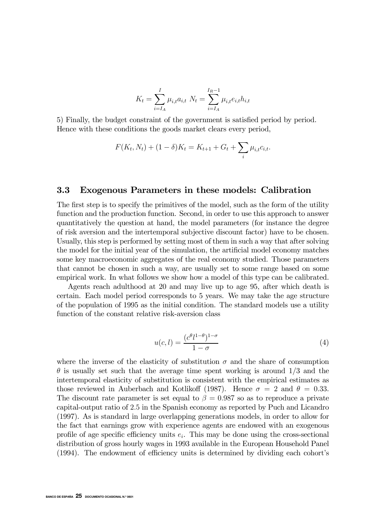$$
K_t = \sum_{i=I_A}^{I} \mu_{i,t} a_{i,t} \ N_t = \sum_{i=I_A}^{I_R-1} \mu_{i,t} e_{i,t} h_{i,t}
$$

5) Finally, the budget constraint of the government is satisfied period by period. Hence with these conditions the goods market clears every period,

$$
F(K_t, N_t) + (1 - \delta)K_t = K_{t+1} + G_t + \sum_i \mu_{i,t} c_{i,t}.
$$

### 3.3 Exogenous Parameters in these models: Calibration

The first step is to specify the primitives of the model, such as the form of the utility function and the production function. Second, in order to use this approach to answer quantitatively the question at hand, the model parameters (for instance the degree of risk aversion and the intertemporal subjective discount factor) have to be chosen. Usually, this step is performed by setting most of them in such a way that after solving the model for the initial year of the simulation, the artificial model economy matches some key macroeconomic aggregates of the real economy studied. Those parameters that cannot be chosen in such a way, are usually set to some range based on some empirical work. In what follows we show how a model of this type can be calibrated.

Agents reach adulthood at 20 and may live up to age 95, after which death is certain. Each model period corresponds to 5 years. We may take the age structure of the population of 1995 as the initial condition. The standard models use a utility function of the constant relative risk-aversion class

$$
u(c,l) = \frac{(c^{\theta}l^{1-\theta})^{1-\sigma}}{1-\sigma}
$$
\n(4)

where the inverse of the elasticity of substitution  $\sigma$  and the share of consumption  $\theta$  is usually set such that the average time spent working is around  $1/3$  and the intertemporal elasticity of substitution is consistent with the empirical estimates as those reviewed in Auberbach and Kotlikoff (1987). Hence  $\sigma = 2$  and  $\theta = 0.33$ . The discount rate parameter is set equal to  $\beta = 0.987$  so as to reproduce a private capital-output ratio of 2.5 in the Spanish economy as reported by Puch and Licandro (1997). As is standard in large overlapping generations models, in order to allow for the fact that earnings grow with experience agents are endowed with an exogenous profile of age specific efficiency units  $e_i$ . This may be done using the cross-sectional distribution of gross hourly wages in 1993 available in the European Household Panel (1994). The endowment of efficiency units is determined by dividing each cohort's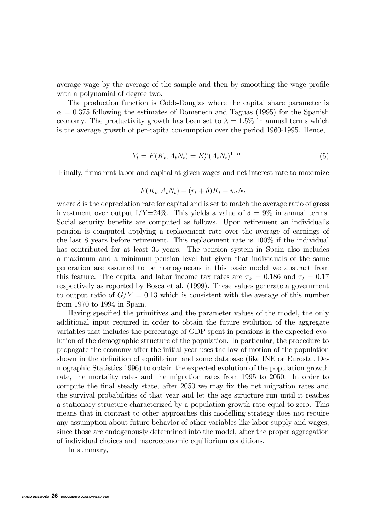average wage by the average of the sample and then by smoothing the wage profile with a polynomial of degree two.

The production function is Cobb-Douglas where the capital share parameter is  $\alpha = 0.375$  following the estimates of Domenech and Taguas (1995) for the Spanish economy. The productivity growth has been set to  $\lambda = 1.5\%$  in annual terms which is the average growth of per-capita consumption over the period 1960-1995. Hence,

$$
Y_t = F(K_t, A_t N_t) = K_t^{\alpha} (A_t N_t)^{1-\alpha}
$$
\n
$$
(5)
$$

Finally, firms rent labor and capital at given wages and net interest rate to maximize

$$
F(K_t, A_t N_t) - (r_t + \delta)K_t - w_t N_t
$$

where  $\delta$  is the depreciation rate for capital and is set to match the average ratio of gross investment over output I/Y=24%. This yields a value of  $\delta = 9\%$  in annual terms. Social security benefits are computed as follows. Upon retirement an individual's pension is computed applying a replacement rate over the average of earnings of the last 8 years before retirement. This replacement rate is 100% if the individual has contributed for at least 35 years. The pension system in Spain also includes a maximum and a minimum pension level but given that individuals of the same generation are assumed to be homogeneous in this basic model we abstract from this feature. The capital and labor income tax rates are  $\tau_k = 0.186$  and  $\tau_l = 0.17$ respectively as reported by Bosca et al. (1999). These values generate a government to output ratio of  $G/Y = 0.13$  which is consistent with the average of this number from 1970 to 1994 in Spain.

Having specified the primitives and the parameter values of the model, the only additional input required in order to obtain the future evolution of the aggregate variables that includes the percentage of GDP spent in pensions is the expected evolution of the demographic structure of the population. In particular, the procedure to propagate the economy after the initial year uses the law of motion of the population shown in the definition of equilibrium and some database (like INE or Eurostat Demographic Statistics 1996) to obtain the expected evolution of the population growth rate, the mortality rates and the migration rates from 1995 to 2050. In order to compute the final steady state, after 2050 we may fix the net migration rates and the survival probabilities of that year and let the age structure run until it reaches a stationary structure characterized by a population growth rate equal to zero. This means that in contrast to other approaches this modelling strategy does not require any assumption about future behavior of other variables like labor supply and wages, since those are endogenously determined into the model, after the proper aggregation of individual choices and macroeconomic equilibrium conditions.

In summary,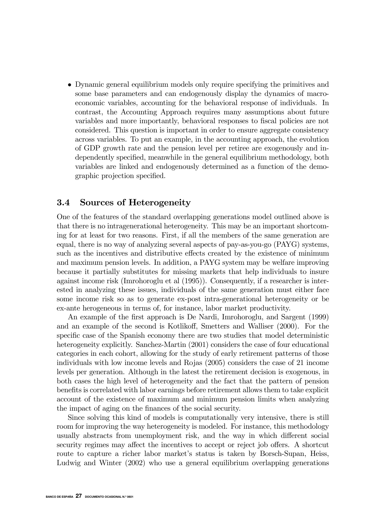• Dynamic general equilibrium models only require specifying the primitives and some base parameters and can endogenously display the dynamics of macroeconomic variables, accounting for the behavioral response of individuals. In contrast, the Accounting Approach requires many assumptions about future variables and more importantly, behavioral responses to fiscal policies are not considered. This question is important in order to ensure aggregate consistency across variables. To put an example, in the accounting approach, the evolution of GDP growth rate and the pension level per retiree are exogenously and independently specified, meanwhile in the general equilibrium methodology, both variables are linked and endogenously determined as a function of the demographic projection specified.

### 3.4 Sources of Heterogeneity

One of the features of the standard overlapping generations model outlined above is that there is no intragenerational heterogeneity. This may be an important shortcoming for at least for two reasons. First, if all the members of the same generation are equal, there is no way of analyzing several aspects of pay-as-you-go (PAYG) systems, such as the incentives and distributive effects created by the existence of minimum and maximum pension levels. In addition, a PAYG system may be welfare improving because it partially substitutes for missing markets that help individuals to insure against income risk (Imrohoroglu et al (1995)). Consequently, if a researcher is interested in analyzing these issues, individuals of the same generation must either face some income risk so as to generate ex-post intra-generational heterogeneity or be ex-ante herogeneous in terms of, for instance, labor market productivity.

An example of the first approach is De Nardi, Imrohoroglu, and Sargent (1999) and an example of the second is Kotlikoff, Smetters and Walliser (2000). For the specific case of the Spanish economy there are two studies that model deterministic heterogeneity explicitly. Sanchez-Martin (2001) considers the case of four educational categories in each cohort, allowing for the study of early retirement patterns of those individuals with low income levels and Rojas (2005) considers the case of 21 income levels per generation. Although in the latest the retirement decision is exogenous, in both cases the high level of heterogeneity and the fact that the pattern of pension benefits is correlated with labor earnings before retirement allows them to take explicit account of the existence of maximum and minimum pension limits when analyzing the impact of aging on the finances of the social security.

Since solving this kind of models is computationally very intensive, there is still room for improving the way heterogeneity is modeled. For instance, this methodology usually abstracts from unemployment risk, and the way in which different social security regimes may affect the incentives to accept or reject job offers. A shortcut route to capture a richer labor market's status is taken by Borsch-Supan, Heiss, Ludwig and Winter (2002) who use a general equilibrium overlapping generations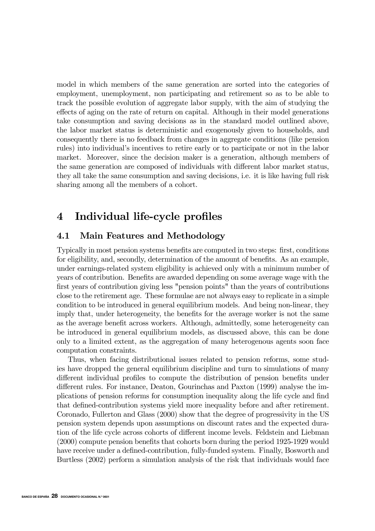model in which members of the same generation are sorted into the categories of employment, unemployment, non participating and retirement so as to be able to track the possible evolution of aggregate labor supply, with the aim of studying the effects of aging on the rate of return on capital. Although in their model generations take consumption and saving decisions as in the standard model outlined above, the labor market status is deterministic and exogenously given to households, and consequently there is no feedback from changes in aggregate conditions (like pension rules) into individual's incentives to retire early or to participate or not in the labor market. Moreover, since the decision maker is a generation, although members of the same generation are composed of individuals with different labor market status, they all take the same consumption and saving decisions, i.e. it is like having full risk sharing among all the members of a cohort.

# 4 Individual life-cycle profiles

### 4.1 Main Features and Methodology

Typically in most pension systems benefits are computed in two steps: first, conditions for eligibility, and, secondly, determination of the amount of benefits. As an example, under earnings-related system eligibility is achieved only with a minimum number of years of contribution. Benefits are awarded depending on some average wage with the first years of contribution giving less "pension points" than the years of contributions close to the retirement age. These formulae are not always easy to replicate in a simple condition to be introduced in general equilibrium models. And being non-linear, they imply that, under heterogeneity, the benefits for the average worker is not the same as the average benefit across workers. Although, admittedly, some heterogeneity can be introduced in general equilibrium models, as discussed above, this can be done only to a limited extent, as the aggregation of many heterogenous agents soon face computation constraints.

Thus, when facing distributional issues related to pension reforms, some studies have dropped the general equilibrium discipline and turn to simulations of many different individual profiles to compute the distribution of pension benefits under different rules. For instance, Deaton, Gourinchas and Paxton (1999) analyse the implications of pension reforms for consumption inequality along the life cycle and find that defined-contribution systems yield more inequality before and after retirement. Coronado, Fullerton and Glass (2000) show that the degree of progressivity in the US pension system depends upon assumptions on discount rates and the expected duration of the life cycle across cohorts of different income levels. Feldstein and Liebman (2000) compute pension benefits that cohorts born during the period 1925-1929 would have receive under a defined-contribution, fully-funded system. Finally, Bosworth and Burtless (2002) perform a simulation analysis of the risk that individuals would face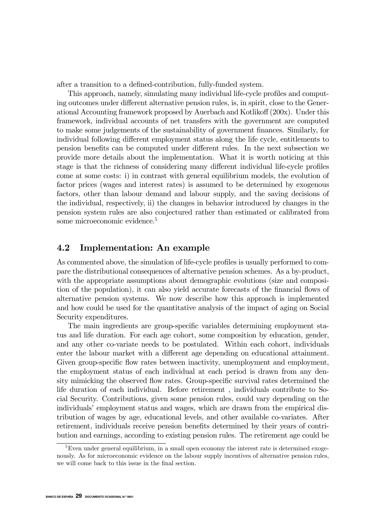after a transition to a defined-contribution, fully-funded system.

This approach, namely, simulating many individual life-cycle profiles and computing outcomes under different alternative pension rules, is, in spirit, close to the Generational Accounting framework proposed by Auerbach and Kotlikoff (200x). Under this framework, individual accounts of net transfers with the government are computed to make some judgements of the sustainability of government finances. Similarly, for individual following different employment status along the life cycle, entitlements to pension benefits can be computed under different rules. In the next subsection we provide more details about the implementation. What it is worth noticing at this stage is that the richness of considering many different individual life-cycle profiles come at some costs: i) in contrast with general equilibrium models, the evolution of factor prices (wages and interest rates) is assumed to be determined by exogenous factors, other than labour demand and labour supply, and the saving decisions of the individual, respectively, ii) the changes in behavior introduced by changes in the pension system rules are also conjectured rather than estimated or calibrated from some microeconomic evidence.<sup>5</sup>

### 4.2 Implementation: An example

As commented above, the simulation of life-cycle profiles is usually performed to compare the distributional consequences of alternative pension schemes. As a by-product, with the appropriate assumptions about demographic evolutions (size and composition of the population), it can also yield accurate forecasts of the financial flows of alternative pension systems. We now describe how this approach is implemented and how could be used for the quantitative analysis of the impact of aging on Social Security expenditures.

The main ingredients are group-specific variables determining employment status and life duration. For each age cohort, some composition by education, gender, and any other co-variate needs to be postulated. Within each cohort, individuals enter the labour market with a different age depending on educational attainment. Given group-specific flow rates between inactivity, unemployment and employment, the employment status of each individual at each period is drawn from any density mimicking the observed flow rates. Group-specific survival rates determined the life duration of each individual. Before retirement , individuals contribute to Social Security. Contributions, given some pension rules, could vary depending on the individuals' employment status and wages, which are drawn from the empirical distribution of wages by age, educational levels, and other available co-variates. After retirement, individuals receive pension benefits determined by their years of contribution and earnings, according to existing pension rules. The retirement age could be

 $5$ Even under general equilibrium, in a small open economy the interest rate is determined exogenously. As for microeconomic evidence on the labour supply incentives of alternative pension rules, we will come back to this issue in the final section.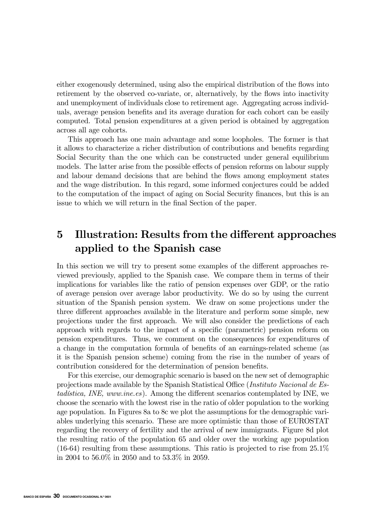either exogenously determined, using also the empirical distribution of the flows into retirement by the observed co-variate, or, alternatively, by the flows into inactivity and unemployment of individuals close to retirement age. Aggregating across individuals, average pension benefits and its average duration for each cohort can be easily computed. Total pension expenditures at a given period is obtained by aggregation across all age cohorts.

This approach has one main advantage and some loopholes. The former is that it allows to characterize a richer distribution of contributions and benefits regarding Social Security than the one which can be constructed under general equilibrium models. The latter arise from the possible effects of pension reforms on labour supply and labour demand decisions that are behind the flows among employment states and the wage distribution. In this regard, some informed conjectures could be added to the computation of the impact of aging on Social Security finances, but this is an issue to which we will return in the final Section of the paper.

# 5 Illustration: Results from the different approaches applied to the Spanish case

In this section we will try to present some examples of the different approaches reviewed previously, applied to the Spanish case. We compare them in terms of their implications for variables like the ratio of pension expenses over GDP, or the ratio of average pension over average labor productivity. We do so by using the current situation of the Spanish pension system. We draw on some projections under the three different approaches available in the literature and perform some simple, new projections under the first approach. We will also consider the predictions of each approach with regards to the impact of a specific (parametric) pension reform on pension expenditures. Thus, we comment on the consequences for expenditures of a change in the computation formula of benefits of an earnings-related scheme (as it is the Spanish pension scheme) coming from the rise in the number of years of contribution considered for the determination of pension benefits.

For this exercise, our demographic scenario is based on the new set of demographic projections made available by the Spanish Statistical Office (Instituto Nacional de Estadística, INE, www.ine.es). Among the different scenarios contemplated by INE, we choose the scenario with the lowest rise in the ratio of older population to the working age population. In Figures 8a to 8c we plot the assumptions for the demographic variables underlying this scenario. These are more optimistic than those of EUROSTAT regarding the recovery of fertility and the arrival of new immigrants. Figure 8d plot the resulting ratio of the population 65 and older over the working age population  $(16-64)$  resulting from these assumptions. This ratio is projected to rise from  $25.1\%$ in 2004 to 56.0% in 2050 and to 53.3% in 2059.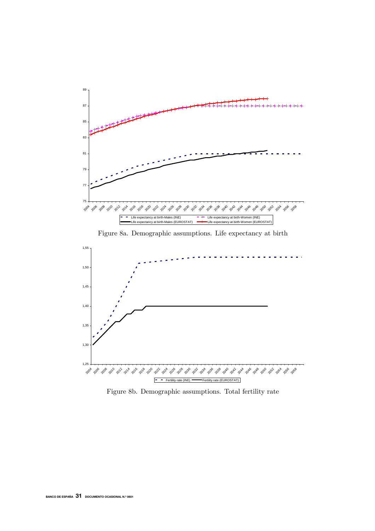

Figure 8a. Demographic assumptions. Life expectancy at birth



Figure 8b. Demographic assumptions. Total fertility rate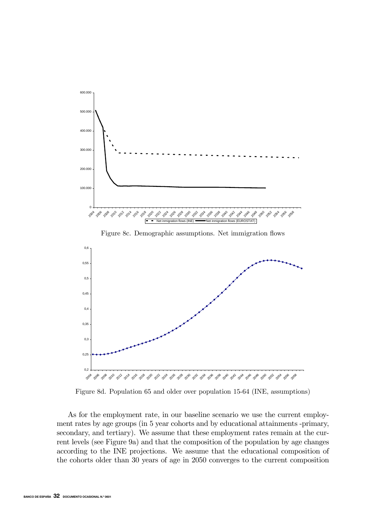

Figure 8c. Demographic assumptions. Net immigration flows



Figure 8d. Population 65 and older over population 15-64 (INE, assumptions)

As for the employment rate, in our baseline scenario we use the current employment rates by age groups (in 5 year cohorts and by educational attainments -primary, secondary, and tertiary). We assume that these employment rates remain at the current levels (see Figure 9a) and that the composition of the population by age changes according to the INE projections. We assume that the educational composition of the cohorts older than 30 years of age in 2050 converges to the current composition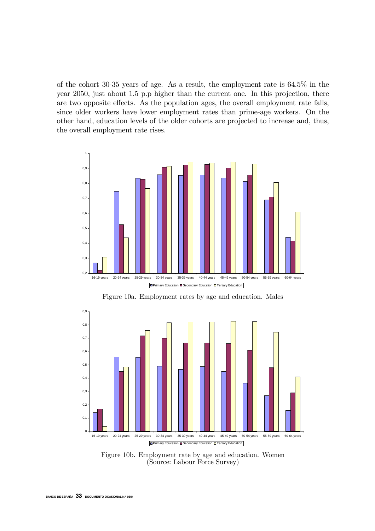of the cohort 30-35 years of age. As a result, the employment rate is 64.5% in the year 2050, just about 1.5 p.p higher than the current one. In this projection, there are two opposite effects. As the population ages, the overall employment rate falls, since older workers have lower employment rates than prime-age workers. On the other hand, education levels of the older cohorts are projected to increase and, thus, the overall employment rate rises.



Figure 10a. Employment rates by age and education. Males



Figure 10b. Employment rate by age and education. Women (Source: Labour Force Survey)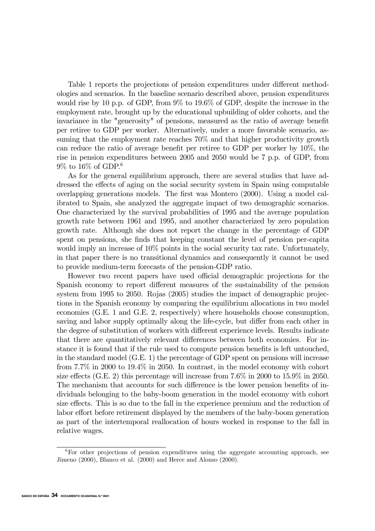Table 1 reports the projections of pension expenditures under different methodologies and scenarios. In the baseline scenario described above, pension expenditures would rise by 10 p.p. of GDP, from 9% to 19.6% of GDP, despite the increase in the employment rate, brought up by the educational upbuilding of older cohorts, and the invariance in the "generosity" of pensions, measured as the ratio of average benefit per retiree to GDP per worker. Alternatively, under a more favorable scenario, assuming that the employment rate reaches 70% and that higher productivity growth can reduce the ratio of average benefit per retiree to GDP per worker by 10%, the rise in pension expenditures between 2005 and 2050 would be 7 p.p. of GDP, from  $9\%$  to  $16\%$  of GDP.<sup>6</sup>

As for the general equilibrium approach, there are several studies that have addressed the effects of aging on the social security system in Spain using computable overlapping generations models. The first was Montero (2000). Using a model calibrated to Spain, she analyzed the aggregate impact of two demographic scenarios. One characterized by the survival probabilities of 1995 and the average population growth rate between 1961 and 1995, and another characterized by zero population growth rate. Although she does not report the change in the percentage of GDP spent on pensions, she finds that keeping constant the level of pension per-capita would imply an increase of 10% points in the social security tax rate. Unfortunately, in that paper there is no transitional dynamics and consequently it cannot be used to provide medium-term forecasts of the pension-GDP ratio.

However two recent papers have used official demographic projections for the Spanish economy to report different measures of the sustainability of the pension system from 1995 to 2050. Rojas (2005) studies the impact of demographic projections in the Spanish economy by comparing the equilibrium allocations in two model economies (G.E. 1 and G.E. 2, respectively) where households choose consumption, saving and labor supply optimally along the life-cycle, but differ from each other in the degree of substitution of workers with different experience levels. Results indicate that there are quantitatively relevant differences between both economies. For instance it is found that if the rule used to compute pension benefits is left untouched, in the standard model (G.E. 1) the percentage of GDP spent on pensions will increase from 7.7% in 2000 to 19.4% in 2050. In contrast, in the model economy with cohort size effects (G.E. 2) this percentage will increase from 7.6% in 2000 to 15.9% in 2050. The mechanism that accounts for such difference is the lower pension benefits of individuals belonging to the baby-boom generation in the model economy with cohort size effects. This is so due to the fall in the experience premium and the reduction of labor effort before retirement displayed by the members of the baby-boom generation as part of the intertemporal reallocation of hours worked in response to the fall in relative wages.

 $6$ For other projections of pension expenditures using the aggregate accounting approach, see Jimeno (2000), Blanco et al. (2000) and Herce and Alonso (2000).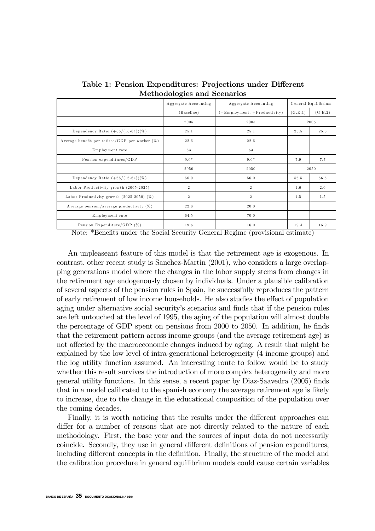|                                                | ິ                                             |                                                      |               |         |
|------------------------------------------------|-----------------------------------------------|------------------------------------------------------|---------------|---------|
|                                                | Aggregate Accounting                          | General Equilibrium<br>Aggregate Accounting          |               |         |
|                                                | (Baseline)                                    | $(+Employment, + Productivity)$                      | (G.E.1)       | (G.E.2) |
|                                                | 2005                                          | 2005                                                 | 2005          |         |
| Dependency Ratio $(+65/(16-64))$ (%)           | 25.1                                          | 25.1                                                 | 25.5<br>25.5  |         |
| Average benefit per retiree/GDP per worker (%) | 22.6                                          | 22.6                                                 |               |         |
| Employment rate                                | 63                                            | 63                                                   |               |         |
| Pension expenditures/GDP                       | $9.0*$                                        | $9.0*$                                               | 7.9           | 7.7     |
|                                                | 2050                                          | 2050                                                 | 2050          |         |
| Dependency Ratio $(+65/(16-64))$ (%)           | 56.0                                          | 56.0                                                 | 56.5          | 56.5    |
| Labor Productivity growth (2005-2025)          | $\overline{2}$                                | $\overline{2}$                                       | 1.6           | 2.0     |
| Labor Productivity growth $(2025-2050)$ (%)    | $\overline{2}$                                | $\overline{2}$                                       | 1.5           | 1.5     |
| Average pension/average productivity (%)       | 22.6                                          | 20.0                                                 |               |         |
| Employment rate                                | 64.5                                          | 70.0                                                 |               |         |
| Pension Expenditure/GDP (%)                    | 19.6                                          | 16.0                                                 | 19.4          | 15.9    |
| $\omega$ , and $\omega$<br>$ -$<br>$\sim$      | $\cdot$ $\cdot$ $\sim$<br>$\sim$<br>$\bullet$ | $\epsilon$<br>$\cdot$ $\cdot$<br>$\sim$ $\sim$<br>л. | $\sim$ $\sim$ |         |

Table 1: Pension Expenditures: Projections under Different Methodologies and Scenarios

Note: \*Benefits under the Social Security General Regime (provisional estimate)

An unpleaseant feature of this model is that the retirement age is exogenous. In contrast, other recent study is Sanchez-Martin (2001), who considers a large overlapping generations model where the changes in the labor supply stems from changes in the retirement age endogenously chosen by individuals. Under a plausible calibration of several aspects of the pension rules in Spain, he successfully reproduces the pattern of early retirement of low income households. He also studies the effect of population aging under alternative social security's scenarios and finds that if the pension rules are left untouched at the level of 1995, the aging of the population will almost double the percentage of GDP spent on pensions from 2000 to 2050. In addition, he finds that the retirement pattern across income groups (and the average retirement age) is not affected by the macroeconomic changes induced by aging. A result that might be explained by the low level of intra-generational heterogeneity (4 income groups) and the log utility function assumed. An interesting route to follow would be to study whether this result survives the introduction of more complex heterogeneity and more general utility functions. In this sense, a recent paper by Diaz-Saavedra (2005) finds that in a model calibrated to the spanish economy the average retirement age is likely to increase, due to the change in the educational composition of the population over the coming decades.

Finally, it is worth noticing that the results under the different approaches can differ for a number of reasons that are not directly related to the nature of each methodology. First, the base year and the sources of input data do not necessarily coincide. Secondly, they use in general different definitions of pension expenditures, including different concepts in the definition. Finally, the structure of the model and the calibration procedure in general equilibrium models could cause certain variables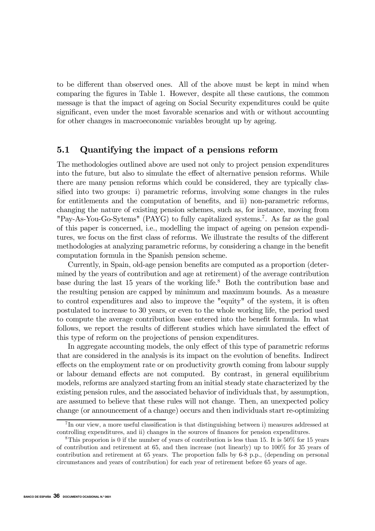to be different than observed ones. All of the above must be kept in mind when comparing the figures in Table 1. However, despite all these cautions, the common message is that the impact of ageing on Social Security expenditures could be quite significant, even under the most favorable scenarios and with or without accounting for other changes in macroeconomic variables brought up by ageing.

### 5.1 Quantifying the impact of a pensions reform

The methodologies outlined above are used not only to project pension expenditures into the future, but also to simulate the effect of alternative pension reforms. While there are many pension reforms which could be considered, they are typically classified into two groups: i) parametric reforms, involving some changes in the rules for entitlements and the computation of benefits, and ii) non-parametric reforms, changing the nature of existing pension schemes, such as, for instance, moving from "Pay-As-You-Go-Sytems" (PAYG) to fully capitalized systems.<sup>7</sup>. As far as the goal of this paper is concerned, i.e., modelling the impact of ageing on pension expenditures, we focus on the first class of reforms. We illustrate the results of the different methodologies at analyzing parametric reforms, by considering a change in the benefit computation formula in the Spanish pension scheme.

Currently, in Spain, old-age pension benefits are computed as a proportion (determined by the years of contribution and age at retirement) of the average contribution base during the last 15 years of the working life.8 Both the contribution base and the resulting pension are capped by minimum and maximum bounds. As a measure to control expenditures and also to improve the "equity" of the system, it is often postulated to increase to 30 years, or even to the whole working life, the period used to compute the average contribution base entered into the benefit formula. In what follows, we report the results of different studies which have simulated the effect of this type of reform on the projections of pension expenditures.

In aggregate accounting models, the only effect of this type of parametric reforms that are considered in the analysis is its impact on the evolution of benefits. Indirect effects on the employment rate or on productivity growth coming from labour supply or labour demand effects are not computed. By contrast, in general equilibrium models, reforms are analyzed starting from an initial steady state characterized by the existing pension rules, and the associated behavior of individuals that, by assumption, are assumed to believe that these rules will not change. Then, an unexpected policy change (or announcement of a change) occurs and then individuals start re-optimizing

<sup>7</sup> In our view, a more useful classification is that distinguishing between i) measures addressed at controlling expenditures, and ii) changes in the sources of finances for pension expenditures.

<sup>&</sup>lt;sup>8</sup>This proporion is 0 if the number of years of contribution is less than 15. It is  $50\%$  for 15 years of contribution and retirement at 65, and then increase (not linearly) up to 100% for 35 years of contribution and retirement at 65 years. The proportion falls by 6-8 p.p., (depending on personal circumstances and years of contribution) for each year of retirement before 65 years of age.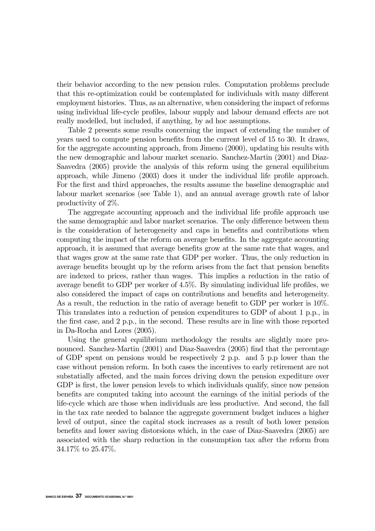their behavior according to the new pension rules. Computation problems preclude that this re-optimization could be contemplated for individuals with many different employment histories. Thus, as an alternative, when considering the impact of reforms using individual life-cycle profiles, labour supply and labour demand effects are not really modelled, but included, if anything, by ad hoc assumptions.

Table 2 presents some results concerning the impact of extending the number of years used to compute pension benefits from the current level of 15 to 30. It draws, for the aggregate accounting approach, from Jimeno (2000), updating his results with the new demographic and labour market scenario. Sanchez-Martin (2001) and Diaz-Saavedra (2005) provide the analysis of this reform using the general equilibrium approach, while Jimeno (2003) does it under the individual life profile approach. For the first and third approaches, the results assume the baseline demographic and labour market scenarios (see Table 1), and an annual average growth rate of labor productivity of 2%.

The aggregate accounting approach and the individual life profile approach use the same demographic and labor market scenarios. The only difference between them is the consideration of heterogeneity and caps in benefits and contributions when computing the impact of the reform on average benefits. In the aggregate accounting approach, it is assumed that average benefits grow at the same rate that wages, and that wages grow at the same rate that GDP per worker. Thus, the only reduction in average benefits brought up by the reform arises from the fact that pension benefits are indexed to prices, rather than wages. This implies a reduction in the ratio of average benefit to GDP per worker of 4.5%. By simulating individual life profiles, we also considered the impact of caps on contributions and benefits and heterogeneity. As a result, the reduction in the ratio of average benefit to GDP per worker is 10%. This translates into a reduction of pension expenditures to GDP of about 1 p.p., in the first case, and 2 p.p., in the second. These results are in line with those reported in Da-Rocha and Lores (2005).

Using the general equilibrium methodology the results are slightly more pronounced. Sanchez-Martin (2001) and Diaz-Saavedra (2005) find that the percentage of GDP spent on pensions would be respectively 2 p.p. and 5 p.p lower than the case without pension reform. In both cases the incentives to early retirement are not substatially affected, and the main forces driving down the pension expediture over GDP is first, the lower pension levels to which individuals qualify, since now pension benefits are computed taking into account the earnings of the initial periods of the life-cycle which are those when individuals are less productive. And second, the fall in the tax rate needed to balance the aggregate government budget induces a higher level of output, since the capital stock increases as a result of both lower pension benefits and lower saving distorsions which, in the case of Diaz-Saavedra (2005) are associated with the sharp reduction in the consumption tax after the reform from 34.17% to 25.47%.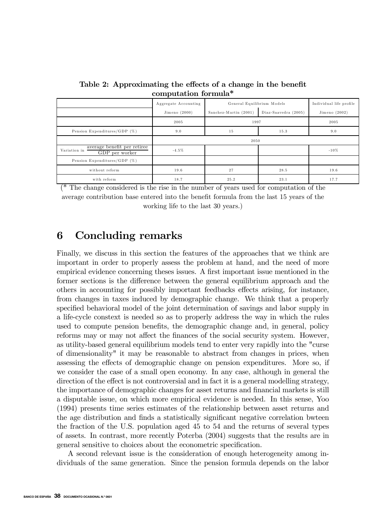|                                                               | Aggregate Accounting | General Equilibrium Models |                      | Individual life profile |  |  |
|---------------------------------------------------------------|----------------------|----------------------------|----------------------|-------------------------|--|--|
|                                                               | Jimeno(2000)         | Sanchez-Martin (2001)      | Diaz-Saavedra (2005) | Jimeno(2002)            |  |  |
|                                                               | 2005<br>1997         |                            | 2005                 |                         |  |  |
| Pension Expenditures/GDP (%)                                  | 9.0                  | 15                         | 15.3                 | 9.0                     |  |  |
|                                                               |                      | 2050                       |                      |                         |  |  |
| average benefit per retiree<br>Variation in<br>GDP per worker | $-4.5\%$             |                            |                      | $-10\%$                 |  |  |
| Pension Expenditures/GDP (%)                                  |                      |                            |                      |                         |  |  |
| without reform                                                | 19.6                 | 27                         | 28.5                 | 19.6                    |  |  |
| with reform                                                   | 18.7                 | 25.2                       | 23.1                 | 17.7                    |  |  |

Table 2: Approximating the effects of a change in the benefit computation formula\*

(\* The change considered is the rise in the number of years used for computation of the average contribution base entered into the benefit formula from the last 15 years of the working life to the last 30 years.)

# 6 Concluding remarks

Finally, we discuss in this section the features of the approaches that we think are important in order to properly assess the problem at hand, and the need of more empirical evidence concerning theses issues. A first important issue mentioned in the former sections is the difference between the general equilibrium approach and the others in accounting for possibly important feedbacks effects arising, for instance, from changes in taxes induced by demographic change. We think that a properly specified behavioral model of the joint determination of savings and labor supply in a life-cycle constext is needed so as to properly address the way in which the rules used to compute pension benefits, the demographic change and, in general, policy reforms may or may not affect the finances of the social security system. However, as utility-based general equilibrium models tend to enter very rapidly into the "curse of dimensionality" it may be reasonable to abstract from changes in prices, when assessing the effects of demographic change on pension expenditures. More so, if we consider the case of a small open economy. In any case, although in general the direction of the effect is not controversial and in fact it is a general modelling strategy, the importance of demographic changes for asset returns and financial markets is still a disputable issue, on which more empirical evidence is needed. In this sense, Yoo (1994) presents time series estimates of the relationship between asset returns and the age distribution and finds a statistically significant negative correlation bwteen the fraction of the U.S. population aged 45 to 54 and the returns of several types of assets. In contrast, more recently Poterba (2004) suggests that the results are in general sensitive to choices about the econometric specification.

A second relevant issue is the consideration of enough heterogeneity among individuals of the same generation. Since the pension formula depends on the labor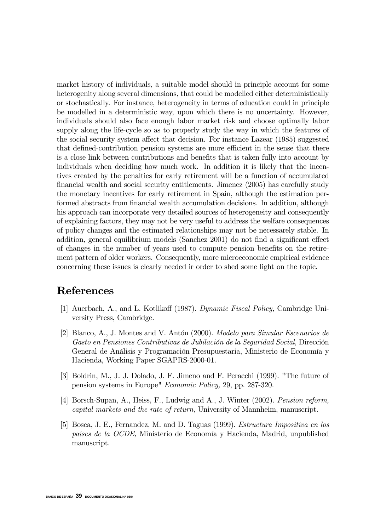market history of individuals, a suitable model should in principle account for some heterogenity along several dimensions, that could be modelled either deterministically or stochastically. For instance, heterogeneity in terms of education could in principle be modelled in a deterministic way, upon which there is no uncertainty. However, individuals should also face enough labor market risk and choose optimally labor supply along the life-cycle so as to properly study the way in which the features of the social security system affect that decision. For instance Lazear (1985) suggested that defined-contribution pension systems are more efficient in the sense that there is a close link between contributions and benefits that is taken fully into account by individuals when deciding how much work. In addition it is likely that the incentives created by the penalties for early retirement will be a function of accumulated financial wealth and social security entitlements. Jimenez (2005) has carefully study the monetary incentives for early retirement in Spain, although the estimation performed abstracts from financial wealth accumulation decisions. In addition, although his approach can incorporate very detailed sources of heterogeneity and consequently of explaining factors, they may not be very useful to address the welfare consequences of policy changes and the estimated relationships may not be necessarely stable. In addition, general equilibrium models (Sanchez 2001) do not find a significant effect of changes in the number of years used to compute pension benefits on the retirement pattern of older workers. Consequently, more microeconomic empirical evidence concerning these issues is clearly needed ir order to shed some light on the topic.

# References

- [1] Auerbach, A., and L. Kotlikoff (1987). Dynamic Fiscal Policy, Cambridge University Press, Cambridge.
- [2] Blanco, A., J. Montes and V. Antón (2000). Modelo para Simular Escenarios de Gasto en Pensiones Contributivas de Jubilación de la Seguridad Social, Dirección General de Análisis y Programación Presupuestaria, Ministerio de Economía y Hacienda, Working Paper SGAPRS-2000-01.
- [3] Boldrin, M., J. J. Dolado, J. F. Jimeno and F. Peracchi (1999). "The future of pension systems in Europe" Economic Policy, 29, pp. 287-320.
- [4] Borsch-Supan, A., Heiss, F., Ludwig and A., J. Winter (2002). Pension reform, capital markets and the rate of return, University of Mannheim, manuscript.
- [5] Bosca, J. E., Fernandez, M. and D. Taguas (1999). Estructura Impositiva en los paises de la OCDE, Ministerio de Economía y Hacienda, Madrid, unpublished manuscript.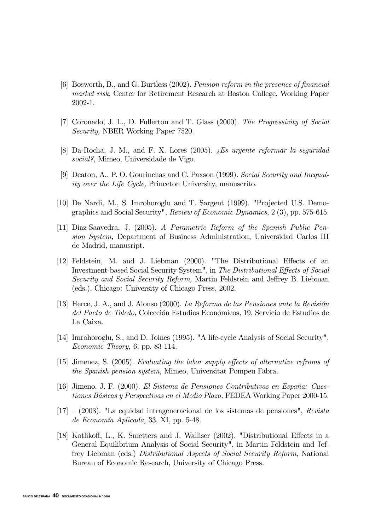- [6] Bosworth, B., and G. Burtless (2002). Pension reform in the presence of financial market risk, Center for Retirement Research at Boston College, Working Paper 2002-1.
- [7] Coronado, J. L., D. Fullerton and T. Glass (2000). The Progressivity of Social Security, NBER Working Paper 7520.
- [8] Da-Rocha, J. M., and F. X. Lores (2005). ¿Es urgente reformar la seguridad social?, Mimeo, Universidade de Vigo.
- [9] Deaton, A., P. O. Gourinchas and C. Paxson (1999). Social Security and Inequality over the Life Cycle, Princeton University, manuscrito.
- [10] De Nardi, M., S. Imrohoroglu and T. Sargent (1999). "Projected U.S. Demographics and Social Security", Review of Economic Dynamics, 2 (3), pp. 575-615.
- [11] Diaz-Saavedra, J. (2005). A Parametric Reform of the Spanish Public Pension System, Department of Business Administration, Universidad Carlos III de Madrid, manusript.
- [12] Feldstein, M. and J. Liebman (2000). "The Distributional Effects of an Investment-based Social Security System", in The Distributional Effects of Social Security and Social Security Reform, Martin Feldstein and Jeffrey B. Liebman (eds.), Chicago: University of Chicago Press, 2002.
- [13] Herce, J. A., and J. Alonso (2000). La Reforma de las Pensiones ante la Revisión del Pacto de Toledo, Colección Estudios Económicos, 19, Servicio de Estudios de La Caixa.
- [14] Imrohoroglu, S., and D. Joines (1995). "A life-cycle Analysis of Social Security", Economic Theory, 6, pp. 83-114.
- [15] Jimenez, S. (2005). Evaluating the labor supply effects of alternative refroms of the Spanish pension system, Mimeo, Universitat Pompeu Fabra.
- [16] Jimeno, J. F. (2000). El Sistema de Pensiones Contributivas en España: Cuestiones Básicas y Perspectivas en el Medio Plazo, FEDEA Working Paper 2000-15.
- $[17] (2003)$ . "La equidad intrageneracional de los sistemas de pensiones", Revista de Economía Aplicada, 33, XI, pp. 5-48.
- [18] Kotlikoff, L., K. Smetters and J. Walliser (2002). "Distributional Effects in a General Equilibrium Analysis of Social Security", in Martin Feldstein and Jeffrey Liebman (eds.) Distributional Aspects of Social Security Reform, National Bureau of Economic Research, University of Chicago Press.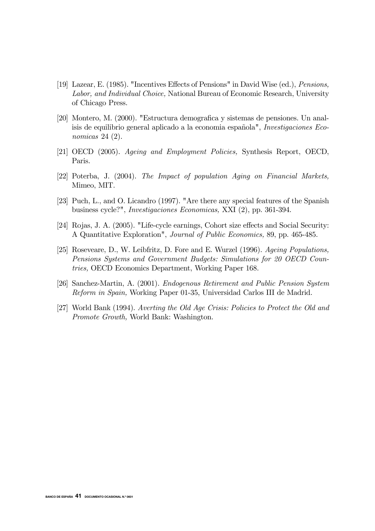- [19] Lazear, E. (1985). "Incentives Effects of Pensions" in David Wise (ed.), Pensions, Labor, and Individual Choice, National Bureau of Economic Research, University of Chicago Press.
- [20] Montero, M. (2000). "Estructura demografica y sistemas de pensiones. Un analisis de equilibrio general aplicado a la economia española", Investigaciones Economicas 24 (2).
- [21] OECD (2005). Ageing and Employment Policies, Synthesis Report, OECD, Paris.
- [22] Poterba, J. (2004). The Impact of population Aging on Financial Markets, Mimeo, MIT.
- [23] Puch, L., and O. Licandro (1997). "Are there any special features of the Spanish business cycle?", Investigaciones Economicas, XXI (2), pp. 361-394.
- [24] Rojas, J. A. (2005). "Life-cycle earnings, Cohort size effects and Social Security: A Quantitative Exploration", Journal of Public Economics, 89, pp. 465-485.
- [25] Roseveare, D., W. Leibfritz, D. Fore and E. Wurzel (1996). Ageing Populations, Pensions Systems and Government Budgets: Simulations for 20 OECD Countries, OECD Economics Department, Working Paper 168.
- [26] Sanchez-Martin, A. (2001). Endogenous Retirement and Public Pension System Reform in Spain, Working Paper 01-35, Universidad Carlos III de Madrid.
- [27] World Bank (1994). Averting the Old Age Crisis: Policies to Protect the Old and Promote Growth, World Bank: Washington.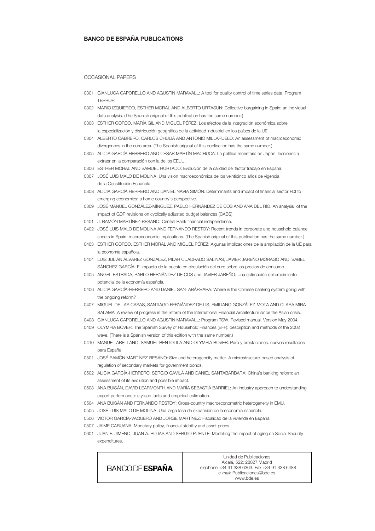#### BANCO DE ESPAÑA PUBLICATIONS

#### OCCASIONAL PAPERS

- 0301 GIANLUCA CAPORELLO AND AGUSTÍN MARAVALL: A tool for quality control of time series data. Program TERROR.
- 0302 MARIO IZQUIERDO, ESTHER MORAL AND ALBERTO URTASUN: Collective bargaining in Spain: an individual data analysis. (The Spanish original of this publication has the same number.)
- 0303 ESTHER GORDO, MARÍA GIL AND MIGUEL PÉREZ: Los efectos de la integración económica sobre la especialización y distribución geográfica de la actividad industrial en los países de la UE.
- 0304 ALBERTO CABRERO, CARLOS CHULIÁ AND ANTONIO MILLARUELO: An assessment of macroeconomic divergences in the euro area. (The Spanish original of this publication has the same number.)
- 0305 ALICIA GARCÍA HERRERO AND CÉSAR MARTÍN MACHUCA: La política monetaria en Japón: lecciones a extraer en la comparación con la de los EEUU.
- 0306 ESTHER MORAL AND SAMUEL HURTADO: Evolución de la calidad del factor trabajo en España.
- 0307 JOSÉ LUIS MALO DE MOLINA: Una visión macroeconómica de los veinticinco años de vigencia de la Constitución Española.
- 0308 ALICIA GARCÍA HERRERO AND DANIEL NAVIA SIMÓN: Determinants and impact of financial sector FDI to emerging economies: a home country's perspective.
- 0309 JOSÉ MANUEL GONZÁLEZ-MÍNGUEZ, PABLO HERNÁNDEZ DE COS AND ANA DEL RÍO: An analysis of the impact of GDP revisions on cyclically adjusted budget balances (CABS).
- 0401 J. RAMÓN MARTÍNEZ-RESANO: Central Bank financial independence.
- 0402 JOSÉ LUIS MALO DE MOLINA AND FERNANDO RESTOY: Recent trends in corporate and household balance sheets in Spain: macroeconomic implications. (The Spanish original of this publication has the same number.)
- 0403 ESTHER GORDO, ESTHER MORAL AND MIGUEL PÉREZ: Algunas implicaciones de la ampliación de la UE para la economía española.
- 0404 LUIS JULIÁN ÁLVAREZ GONZÁLEZ, PILAR CUADRADO SALINAS, JAVIER JAREÑO MORAGO AND ISABEL SÁNCHEZ GARCÍA: El impacto de la puesta en circulación del euro sobre los precios de consumo.
- 0405 ÁNGEL ESTRADA, PABLO HERNÁNDEZ DE COS and JAVIER JAREÑO: Una estimación del crecimiento potencial de la economía española.
- 0406 ALICIA GARCÍA-HERRERO AND DANIEL SANTABÁRBARA: Where is the Chinese banking system going with the ongoing reform?
- 0407 MIGUEL DE LAS CASAS, SANTIAGO FERNÁNDEZ DE LIS, EMILIANO GONZÁLEZ-MOTA AND CLARA MIRA-SALAMA: A review of progress in the reform of the International Financial Architecture since the Asian crisis.
- 0408 GIANLUCA CAPORELLO AND AGUSTÍN MARAVALL: Program TSW. Revised manual. Version May 2004.
- 0409 OLYMPIA BOVER: The Spanish Survey of Household Finances (EFF): description and methods of the 2002 wave. (There is a Spanish version of this edition with the same number.)
- 0410 MANUEL ARELLANO, SAMUEL BENTOLILA AND OLYMPIA BOVER: Paro y prestaciones: nuevos resultados para España.
- 0501 JOSÉ RAMÓN MARTÍNEZ-RESANO: Size and heterogeneity matter. A microstructure-based analysis of regulation of secondary markets for government bonds.
- 0502 ALICIA GARCÍA-HERRERO, SERGIO GAVILÁ AND DANIEL SANTABÁRBARA: China's banking reform: an assessment of its evolution and possible impact.
- 0503 ANA BUISÁN, DAVID LEARMONTH AND MARÍA SEBASTIÁ BARRIEL: An industry approach to understanding export performance: stylised facts and empirical estimation.
- 0504 ANA BUISÁN AND FERNANDO RESTOY: Cross-country macroeconometric heterogeneity in EMU.
- 0505 JOSÉ LUIS MALO DE MOLINA: Una larga fase de expansión de la economía española.
- 0506 VICTOR GARCÍA-VAQUERO AND JORGE MARTÍNEZ: Fiscalidad de la vivienda en España.
- 0507 JAIME CARUANA: Monetary policy, financial stability and asset prices.
- 0601 JUAN F. JIMENO, JUAN A. ROJAS AND SERGIO PUENTE: Modelling the impact of aging on Social Security expenditures.

| BANCODE ESPAÑA | Unidad de Publicaciones<br>Alcalá, 522; 28027 Madrid<br>Telephone +34 91 338 6363. Fax +34 91 338 6488<br>e-mail: Publicaciones@bde.es |
|----------------|----------------------------------------------------------------------------------------------------------------------------------------|
|                | www.bde.es                                                                                                                             |